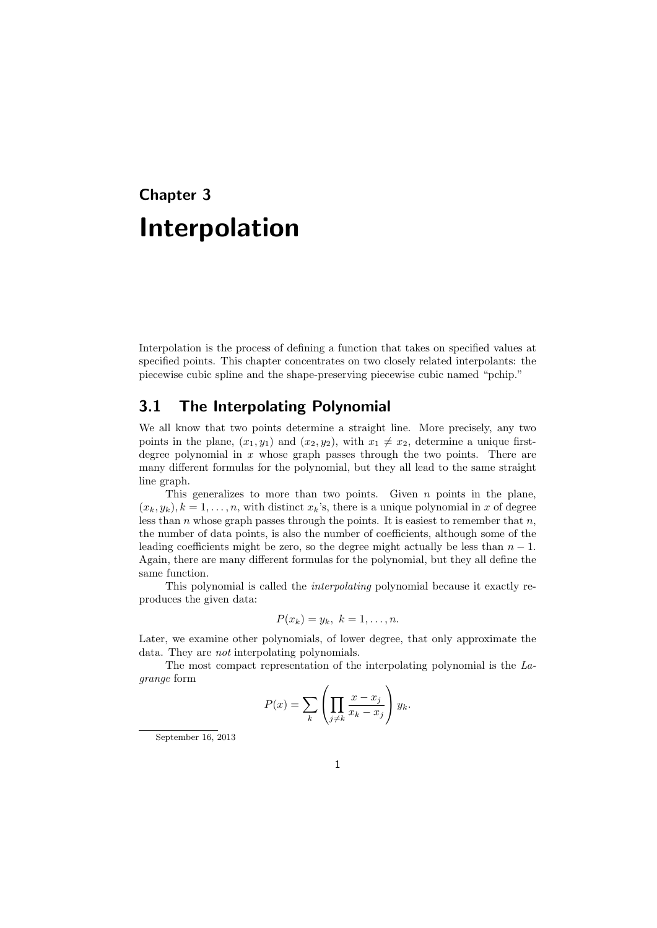## **Chapter 3 Interpolation**

Interpolation is the process of defining a function that takes on specified values at specified points. This chapter concentrates on two closely related interpolants: the piecewise cubic spline and the shape-preserving piecewise cubic named "pchip."

#### **3.1 The Interpolating Polynomial**

We all know that two points determine a straight line. More precisely, any two points in the plane,  $(x_1, y_1)$  and  $(x_2, y_2)$ , with  $x_1 \neq x_2$ , determine a unique firstdegree polynomial in *x* whose graph passes through the two points. There are many different formulas for the polynomial, but they all lead to the same straight line graph.

This generalizes to more than two points. Given *n* points in the plane,  $(x_k, y_k)$ ,  $k = 1, \ldots, n$ , with distinct  $x_k$ 's, there is a unique polynomial in *x* of degree less than *n* whose graph passes through the points. It is easiest to remember that *n*, the number of data points, is also the number of coefficients, although some of the leading coefficients might be zero, so the degree might actually be less than  $n-1$ . Again, there are many different formulas for the polynomial, but they all define the same function.

This polynomial is called the *interpolating* polynomial because it exactly reproduces the given data:

$$
P(x_k) = y_k, \ k = 1, \ldots, n.
$$

Later, we examine other polynomials, of lower degree, that only approximate the data. They are *not* interpolating polynomials.

The most compact representation of the interpolating polynomial is the *Lagrange* form

$$
P(x) = \sum_{k} \left( \prod_{j \neq k} \frac{x - x_j}{x_k - x_j} \right) y_k.
$$

September 16, 2013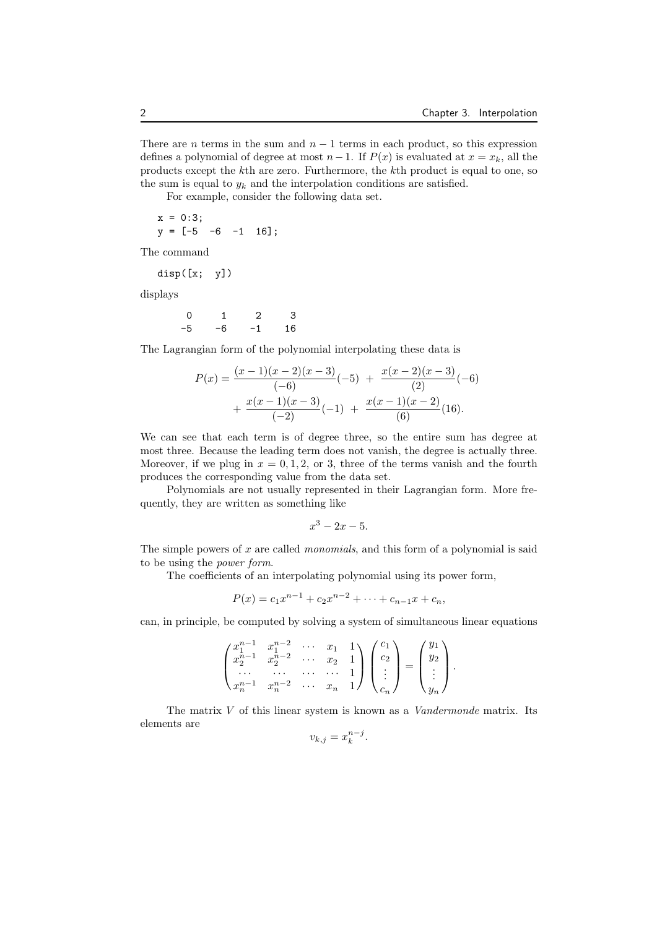There are *n* terms in the sum and  $n-1$  terms in each product, so this expression defines a polynomial of degree at most  $n-1$ . If  $P(x)$  is evaluated at  $x = x_k$ , all the products except the *k*th are zero. Furthermore, the *k*th product is equal to one, so the sum is equal to  $y_k$  and the interpolation conditions are satisfied.

For example, consider the following data set.

 $x = 0:3;$  $y = [-5 -6 -1 16];$ 

The command

disp([x; y])

displays

0 1 2 3 -5 -6 -1 16

The Lagrangian form of the polynomial interpolating these data is

$$
P(x) = \frac{(x-1)(x-2)(x-3)}{(-6)}(-5) + \frac{x(x-2)(x-3)}{(2)}(-6) + \frac{x(x-1)(x-3)}{(-2)}(-1) + \frac{x(x-1)(x-2)}{(6)}(16).
$$

We can see that each term is of degree three, so the entire sum has degree at most three. Because the leading term does not vanish, the degree is actually three. Moreover, if we plug in  $x = 0, 1, 2$ , or 3, three of the terms vanish and the fourth produces the corresponding value from the data set.

Polynomials are not usually represented in their Lagrangian form. More frequently, they are written as something like

$$
x^3 - 2x - 5.
$$

The simple powers of *x* are called *monomials*, and this form of a polynomial is said to be using the *power form*.

The coefficients of an interpolating polynomial using its power form,

$$
P(x) = c_1 x^{n-1} + c_2 x^{n-2} + \dots + c_{n-1} x + c_n,
$$

can, in principle, be computed by solving a system of simultaneous linear equations

$$
\begin{pmatrix} x_1^{n-1} & x_1^{n-2} & \cdots & x_1 & 1 \\ x_2^{n-1} & x_2^{n-2} & \cdots & x_2 & 1 \\ \cdots & \cdots & \cdots & \cdots & 1 \\ x_n^{n-1} & x_n^{n-2} & \cdots & x_n & 1 \end{pmatrix} \begin{pmatrix} c_1 \\ c_2 \\ \vdots \\ c_n \end{pmatrix} = \begin{pmatrix} y_1 \\ y_2 \\ \vdots \\ y_n \end{pmatrix}.
$$

The matrix *V* of this linear system is known as a *Vandermonde* matrix. Its elements are *n*<sup>−*j*</sup>

$$
v_{k,j} = x_k^{n-j}.
$$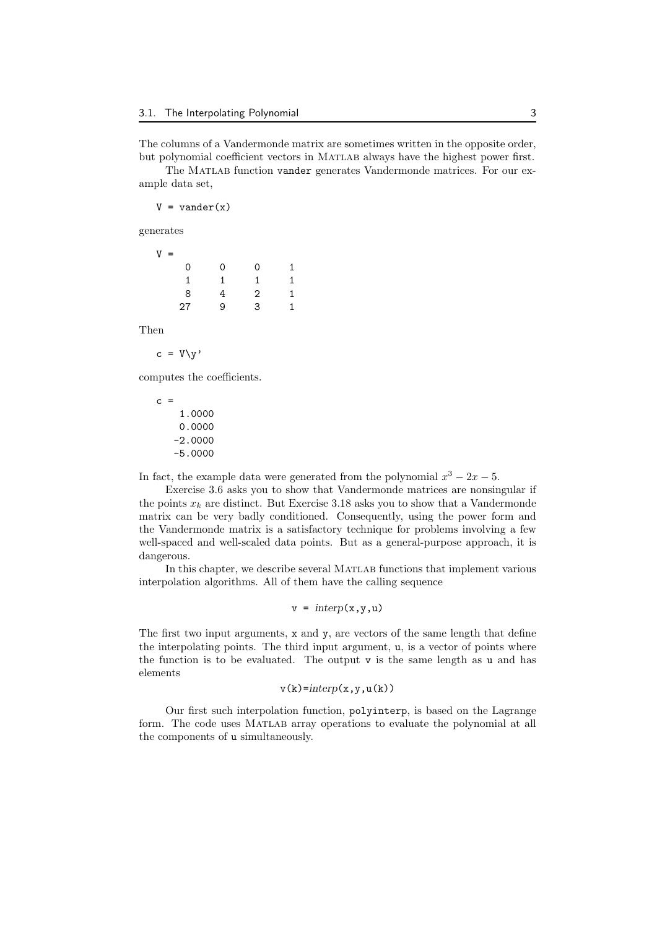The columns of a Vandermonde matrix are sometimes written in the opposite order, but polynomial coefficient vectors in Matlab always have the highest power first.

The MATLAB function vander generates Vandermonde matrices. For our example data set,

 $V = vander(x)$ 

generates

| V | $=$ |   |    |   |
|---|-----|---|----|---|
|   | 0   | 0 | 0  | 1 |
|   | 1   | 1 | 1. | 1 |
|   | 8   | 4 | 2  | 1 |
|   | 27  | 9 | 3  | 1 |
|   |     |   |    |   |

Then

 $c = V\ y$ '

computes the coefficients.

 $c =$ 1.0000 0.0000 -2.0000 -5.0000

In fact, the example data were generated from the polynomial  $x^3 - 2x - 5$ .

Exercise 3.6 asks you to show that Vandermonde matrices are nonsingular if the points  $x_k$  are distinct. But Exercise 3.18 asks you to show that a Vandermonde matrix can be very badly conditioned. Consequently, using the power form and the Vandermonde matrix is a satisfactory technique for problems involving a few well-spaced and well-scaled data points. But as a general-purpose approach, it is dangerous.

In this chapter, we describe several MATLAB functions that implement various interpolation algorithms. All of them have the calling sequence

$$
v = interp(x, y, u)
$$

The first two input arguments, x and y, are vectors of the same length that define the interpolating points. The third input argument, u, is a vector of points where the function is to be evaluated. The output v is the same length as u and has elements

 $v(k) =$ *interp* $(x, y, u(k))$ 

Our first such interpolation function, polyinterp, is based on the Lagrange form. The code uses Matlab array operations to evaluate the polynomial at all the components of u simultaneously.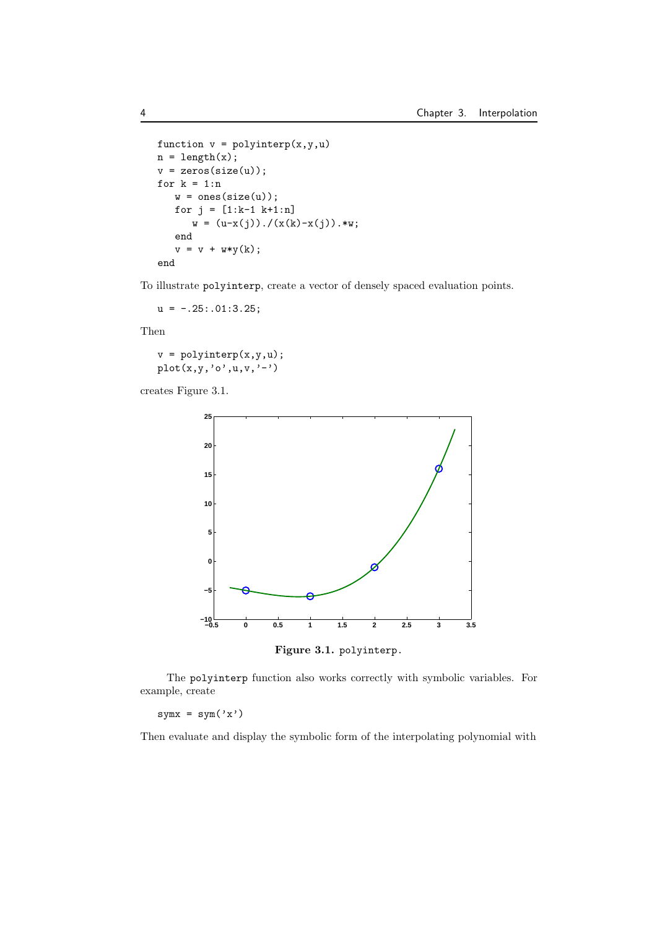```
function v = polyinterp(x,y,u)n = length(x);v = zeros(size(u));for k = 1:nw = ones(size(u));for j = [1:k-1 k+1:n]w = (u-x(j))./(x(k)-x(j)).*w;
   end
   v = v + w*y(k);end
```
To illustrate polyinterp, create a vector of densely spaced evaluation points.

 $u = -.25: .01:3.25;$ 

Then

 $v = polyinterp(x,y,u);$  $plot(x,y,'o',u,v,'-')$ 

creates Figure 3.1.



**Figure 3.1.** polyinterp.

The polyinterp function also works correctly with symbolic variables. For example, create

 $symx = sym('x')$ 

Then evaluate and display the symbolic form of the interpolating polynomial with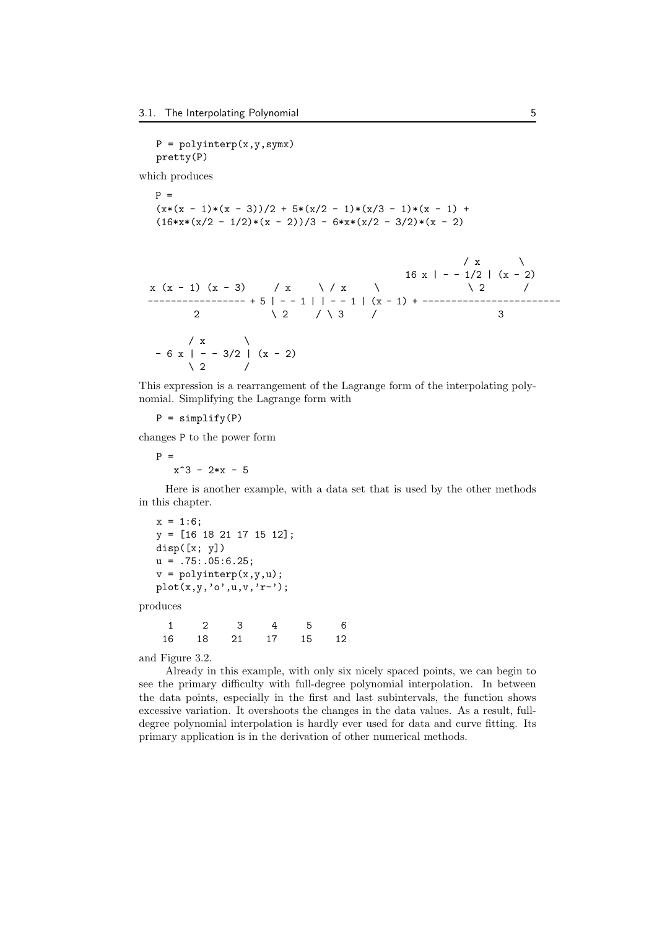$P = polyinterp(x, y, symx)$ pretty(P)

which produces

P = 
$$
(x*(x - 1)*(x - 3))/2 + 5*(x/2 - 1)*(x/3 - 1)*(x - 1) + (16*x*(x/2 - 1/2)*(x - 2))/3 - 6*x*(x/2 - 3/2)*(x - 2)
$$

$$
x (x - 1) (x - 3) / x / x
$$
  
\n
$$
x (x - 1) (x - 3) / x / x
$$
  
\n
$$
x (x - 1) (x - 2)
$$
  
\n
$$
x (x - 1) (x - 2)
$$
  
\n
$$
x (x - 2)
$$
  
\n
$$
x (x - 2)
$$
  
\n
$$
2 / x
$$
  
\n
$$
2 / x
$$
  
\n
$$
3
$$
  
\n
$$
x (x - 1) (x - 1) + 1
$$
  
\n
$$
3
$$
  
\n
$$
3
$$
  
\n
$$
-6 x | -3/2 | (x - 2)
$$
  
\n
$$
2 / x
$$

This expression is a rearrangement of the Lagrange form of the interpolating polynomial. Simplifying the Lagrange form with

 $P =$  simplify(P)

changes P to the power form

 $P =$  $x^3 - 2*x - 5$ 

Here is another example, with a data set that is used by the other methods in this chapter.

 $x = 1:6;$ y = [16 18 21 17 15 12]; disp([x; y])  $u = .75: .05:6.25;$  $v = polyinterp(x, y, u)$ ; plot(x,y,'o',u,v,'r-');

produces

1 2 3 4 5 6 16 18 21 17 15 12

and Figure 3.2.

Already in this example, with only six nicely spaced points, we can begin to see the primary difficulty with full-degree polynomial interpolation. In between the data points, especially in the first and last subintervals, the function shows excessive variation. It overshoots the changes in the data values. As a result, fulldegree polynomial interpolation is hardly ever used for data and curve fitting. Its primary application is in the derivation of other numerical methods.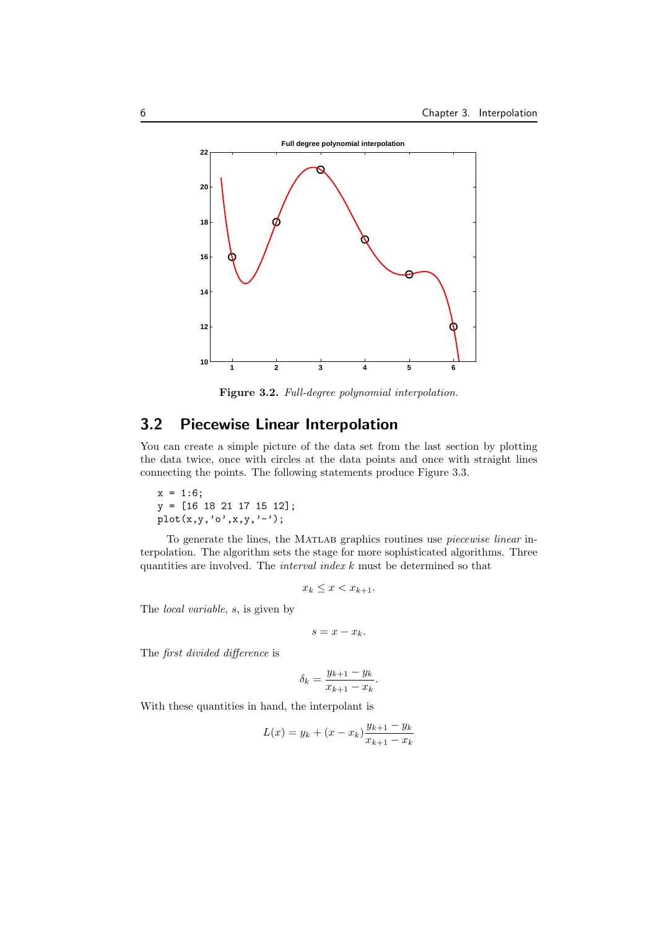

**Figure 3.2.** *Full-degree polynomial interpolation.*

#### **3.2 Piecewise Linear Interpolation**

You can create a simple picture of the data set from the last section by plotting the data twice, once with circles at the data points and once with straight lines connecting the points. The following statements produce Figure 3.3.

 $x = 1:6;$ y = [16 18 21 17 15 12];  $plot(x,y,'o',x,y,'-');$ 

To generate the lines, the Matlab graphics routines use *piecewise linear* interpolation. The algorithm sets the stage for more sophisticated algorithms. Three quantities are involved. The *interval index k* must be determined so that

$$
x_k \le x < x_{k+1}.
$$

The *local variable*, *s*, is given by

$$
s=x-x_k.
$$

The *first divided difference* is

$$
\delta_k = \frac{y_{k+1} - y_k}{x_{k+1} - x_k}.
$$

With these quantities in hand, the interpolant is

$$
L(x) = y_k + (x - x_k) \frac{y_{k+1} - y_k}{x_{k+1} - x_k}
$$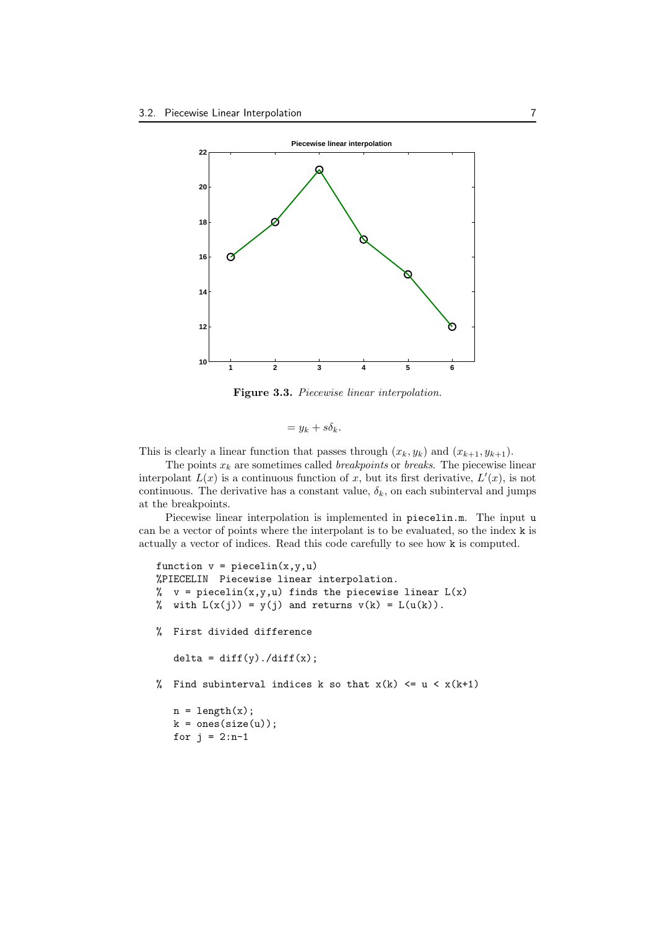

**Figure 3.3.** *Piecewise linear interpolation.*

$$
= y_k + s\delta_k.
$$

This is clearly a linear function that passes through  $(x_k, y_k)$  and  $(x_{k+1}, y_{k+1})$ .

The points  $x_k$  are sometimes called *breakpoints* or *breaks*. The piecewise linear interpolant  $L(x)$  is a continuous function of x, but its first derivative,  $L'(x)$ , is not continuous. The derivative has a constant value,  $\delta_k$ , on each subinterval and jumps at the breakpoints.

Piecewise linear interpolation is implemented in piecelin.m. The input u can be a vector of points where the interpolant is to be evaluated, so the index k is actually a vector of indices. Read this code carefully to see how k is computed.

```
function v = piecellin(x,y,u)%PIECELIN Piecewise linear interpolation.
% v = piecelin(x,y,u) finds the piecewise linear L(x)% with L(x(j)) = y(j) and returns v(k) = L(u(k)).
% First divided difference
   delta = diff(y)./diff(x);
% Find subinterval indices k so that x(k) \leq u \leq x(k+1)n = length(x);k = ones(size(u));for j = 2:n-1
```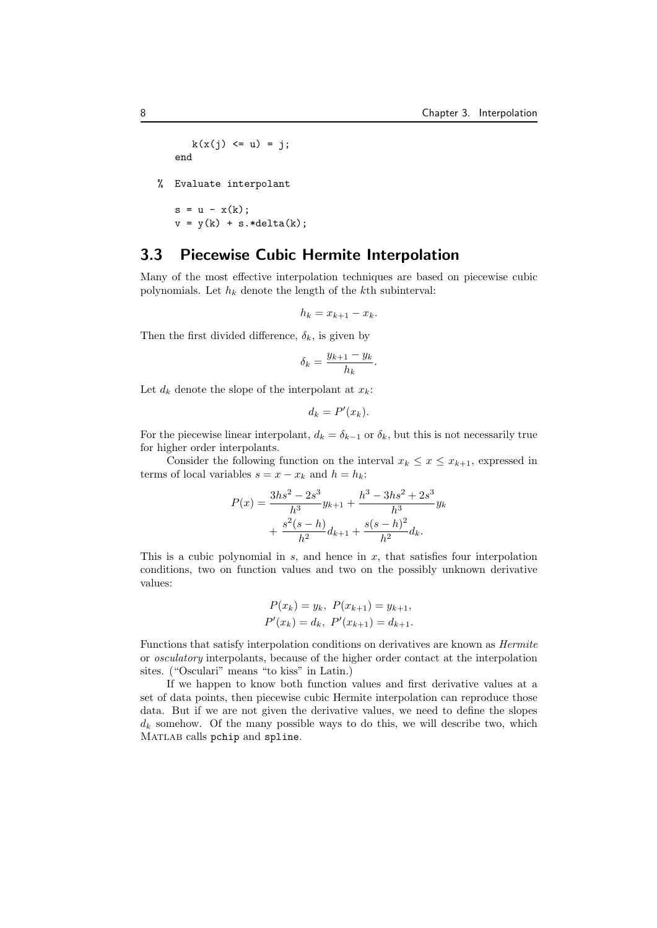$k(x(j) \le u) = j;$ end

% Evaluate interpolant

 $s = u - x(k);$  $v = y(k) + s.*delta(k);$ 

#### **3.3 Piecewise Cubic Hermite Interpolation**

Many of the most effective interpolation techniques are based on piecewise cubic polynomials. Let *h<sup>k</sup>* denote the length of the *k*th subinterval:

$$
h_k = x_{k+1} - x_k.
$$

Then the first divided difference,  $\delta_k$ , is given by

$$
\delta_k = \frac{y_{k+1} - y_k}{h_k}.
$$

Let  $d_k$  denote the slope of the interpolant at  $x_k$ :

$$
d_k = P'(x_k).
$$

For the piecewise linear interpolant,  $d_k = \delta_{k-1}$  or  $\delta_k$ , but this is not necessarily true for higher order interpolants.

Consider the following function on the interval  $x_k \leq x \leq x_{k+1}$ , expressed in terms of local variables  $s = x - x_k$  and  $h = h_k$ :

$$
P(x) = \frac{3hs^2 - 2s^3}{h^3}y_{k+1} + \frac{h^3 - 3hs^2 + 2s^3}{h^3}y_k
$$

$$
+ \frac{s^2(s-h)}{h^2}d_{k+1} + \frac{s(s-h)^2}{h^2}d_k.
$$

This is a cubic polynomial in *s*, and hence in *x*, that satisfies four interpolation conditions, two on function values and two on the possibly unknown derivative values:

$$
P(x_k) = y_k, \ P(x_{k+1}) = y_{k+1},
$$
  

$$
P'(x_k) = d_k, \ P'(x_{k+1}) = d_{k+1}.
$$

Functions that satisfy interpolation conditions on derivatives are known as *Hermite* or *osculatory* interpolants, because of the higher order contact at the interpolation sites. ("Osculari" means "to kiss" in Latin.)

If we happen to know both function values and first derivative values at a set of data points, then piecewise cubic Hermite interpolation can reproduce those data. But if we are not given the derivative values, we need to define the slopes  $d_k$  somehow. Of the many possible ways to do this, we will describe two, which MATLAB calls pchip and spline.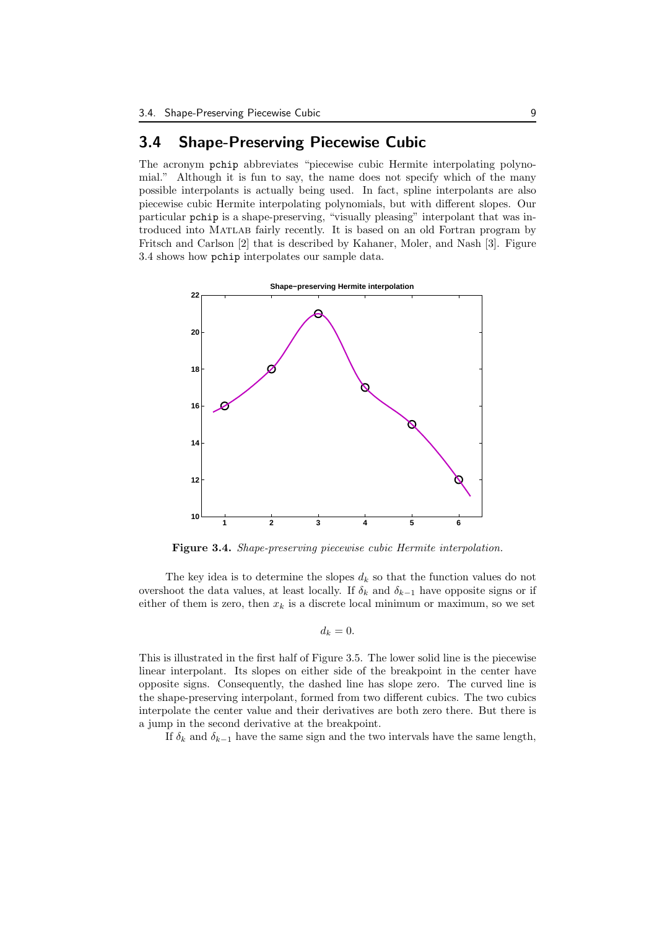### **3.4 Shape-Preserving Piecewise Cubic**

The acronym pchip abbreviates "piecewise cubic Hermite interpolating polynomial." Although it is fun to say, the name does not specify which of the many possible interpolants is actually being used. In fact, spline interpolants are also piecewise cubic Hermite interpolating polynomials, but with different slopes. Our particular pchip is a shape-preserving, "visually pleasing" interpolant that was introduced into Matlab fairly recently. It is based on an old Fortran program by Fritsch and Carlson [2] that is described by Kahaner, Moler, and Nash [3]. Figure 3.4 shows how pchip interpolates our sample data.



**Figure 3.4.** *Shape-preserving piecewise cubic Hermite interpolation.*

The key idea is to determine the slopes  $d_k$  so that the function values do not overshoot the data values, at least locally. If  $\delta_k$  and  $\delta_{k-1}$  have opposite signs or if either of them is zero, then  $x_k$  is a discrete local minimum or maximum, so we set

$$
d_k=0.
$$

This is illustrated in the first half of Figure 3.5. The lower solid line is the piecewise linear interpolant. Its slopes on either side of the breakpoint in the center have opposite signs. Consequently, the dashed line has slope zero. The curved line is the shape-preserving interpolant, formed from two different cubics. The two cubics interpolate the center value and their derivatives are both zero there. But there is a jump in the second derivative at the breakpoint.

If  $\delta_k$  and  $\delta_{k-1}$  have the same sign and the two intervals have the same length,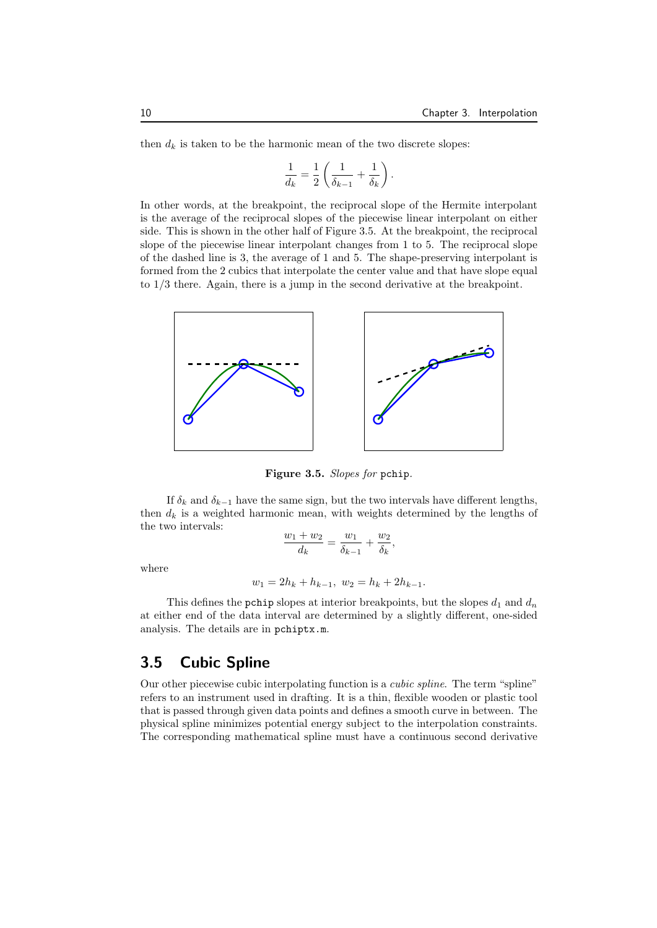then  $d_k$  is taken to be the harmonic mean of the two discrete slopes:

$$
\frac{1}{d_k} = \frac{1}{2} \left( \frac{1}{\delta_{k-1}} + \frac{1}{\delta_k} \right).
$$

In other words, at the breakpoint, the reciprocal slope of the Hermite interpolant is the average of the reciprocal slopes of the piecewise linear interpolant on either side. This is shown in the other half of Figure 3.5. At the breakpoint, the reciprocal slope of the piecewise linear interpolant changes from 1 to 5. The reciprocal slope of the dashed line is 3, the average of 1 and 5. The shape-preserving interpolant is formed from the 2 cubics that interpolate the center value and that have slope equal to 1*/*3 there. Again, there is a jump in the second derivative at the breakpoint.



**Figure 3.5.** *Slopes for* pchip*.*

If  $\delta_k$  and  $\delta_{k-1}$  have the same sign, but the two intervals have different lengths, then  $d_k$  is a weighted harmonic mean, with weights determined by the lengths of the two intervals:

$$
\frac{w_1 + w_2}{d_k} = \frac{w_1}{\delta_{k-1}} + \frac{w_2}{\delta_k},
$$

where

$$
w_1 = 2h_k + h_{k-1}, \ w_2 = h_k + 2h_{k-1}.
$$

This defines the pchip slopes at interior breakpoints, but the slopes  $d_1$  and  $d_n$ at either end of the data interval are determined by a slightly different, one-sided analysis. The details are in pchiptx.m.

#### **3.5 Cubic Spline**

Our other piecewise cubic interpolating function is a *cubic spline*. The term "spline" refers to an instrument used in drafting. It is a thin, flexible wooden or plastic tool that is passed through given data points and defines a smooth curve in between. The physical spline minimizes potential energy subject to the interpolation constraints. The corresponding mathematical spline must have a continuous second derivative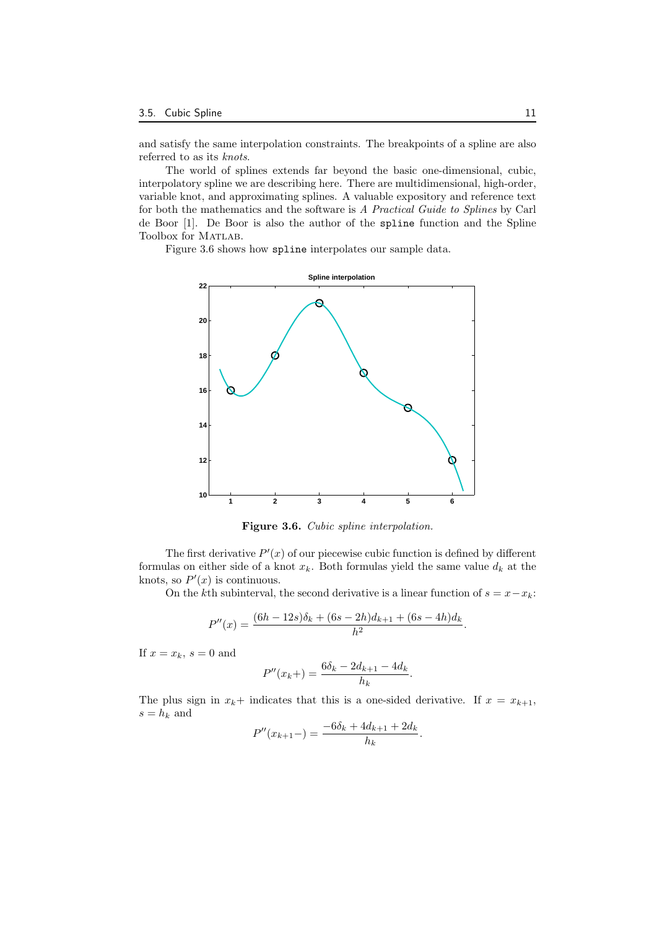and satisfy the same interpolation constraints. The breakpoints of a spline are also referred to as its *knots*.

The world of splines extends far beyond the basic one-dimensional, cubic, interpolatory spline we are describing here. There are multidimensional, high-order, variable knot, and approximating splines. A valuable expository and reference text for both the mathematics and the software is *A Practical Guide to Splines* by Carl de Boor [1]. De Boor is also the author of the spline function and the Spline Toolbox for MATLAB.

Figure 3.6 shows how spline interpolates our sample data.



**Figure 3.6.** *Cubic spline interpolation.*

The first derivative  $P'(x)$  of our piecewise cubic function is defined by different formulas on either side of a knot  $x_k$ . Both formulas yield the same value  $d_k$  at the knots, so  $P'(x)$  is continuous.

On the *k*th subinterval, the second derivative is a linear function of  $s = x - x_k$ :

$$
P''(x) = \frac{(6h - 12s)\delta_k + (6s - 2h)d_{k+1} + (6s - 4h)d_k}{h^2}.
$$

If  $x = x_k$ ,  $s = 0$  and

$$
P''(x_k+) = \frac{6\delta_k - 2d_{k+1} - 4d_k}{h_k}.
$$

The plus sign in  $x_k$ + indicates that this is a one-sided derivative. If  $x = x_{k+1}$ ,  $s = h_k$  and

$$
P''(x_{k+1}-) = \frac{-6\delta_k + 4d_{k+1} + 2d_k}{h_k}
$$

*.*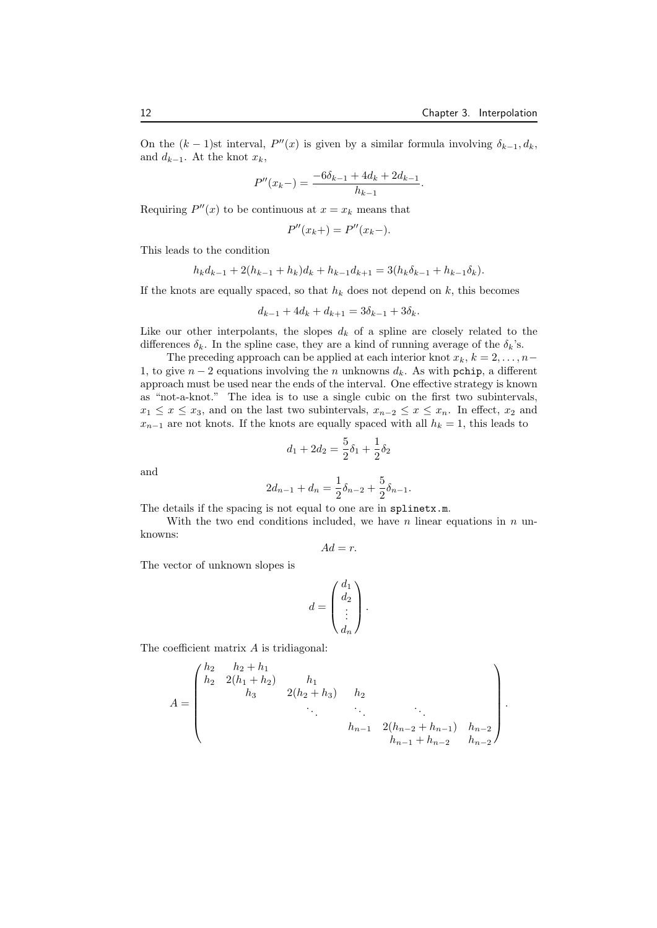On the  $(k-1)$ st interval,  $P''(x)$  is given by a similar formula involving  $\delta_{k-1}, d_k$ , and  $d_{k-1}$ . At the knot  $x_k$ ,

$$
P''(x_{k-}) = \frac{-6\delta_{k-1} + 4d_k + 2d_{k-1}}{h_{k-1}}.
$$

Requiring  $P''(x)$  to be continuous at  $x = x_k$  means that

$$
P''(x_k+) = P''(x_k-).
$$

This leads to the condition

$$
h_k d_{k-1} + 2(h_{k-1} + h_k) d_k + h_{k-1} d_{k+1} = 3(h_k \delta_{k-1} + h_{k-1} \delta_k).
$$

If the knots are equally spaced, so that  $h_k$  does not depend on  $k$ , this becomes

$$
d_{k-1} + 4d_k + d_{k+1} = 3\delta_{k-1} + 3\delta_k.
$$

Like our other interpolants, the slopes  $d_k$  of a spline are closely related to the differences  $\delta_k$ . In the spline case, they are a kind of running average of the  $\delta_k$ 's.

The preceding approach can be applied at each interior knot  $x_k$ ,  $k = 2, \ldots, n - 1$ 1, to give *n −* 2 equations involving the *n* unknowns *dk*. As with pchip, a different approach must be used near the ends of the interval. One effective strategy is known as "not-a-knot." The idea is to use a single cubic on the first two subintervals,  $x_1 \leq x \leq x_3$ , and on the last two subintervals,  $x_{n-2} \leq x \leq x_n$ . In effect,  $x_2$  and  $x_{n-1}$  are not knots. If the knots are equally spaced with all  $h_k = 1$ , this leads to

$$
d_1 + 2d_2 = \frac{5}{2}\delta_1 + \frac{1}{2}\delta_2
$$

and

$$
2d_{n-1} + d_n = \frac{1}{2}\delta_{n-2} + \frac{5}{2}\delta_{n-1}.
$$

The details if the spacing is not equal to one are in splinetx.m.

With the two end conditions included, we have *n* linear equations in *n* unknowns:

$$
Ad=r.
$$

The vector of unknown slopes is

$$
d=\begin{pmatrix}d_1\\ d_2\\\vdots\\ d_n\end{pmatrix}.
$$

The coefficient matrix *A* is tridiagonal:

$$
A = \begin{pmatrix} h_2 & h_2 + h_1 & & & \\ h_2 & 2(h_1 + h_2) & h_1 & & \\ & h_3 & 2(h_2 + h_3) & h_2 & \\ & & \ddots & \ddots & \ddots \\ & & & h_{n-1} & 2(h_{n-2} + h_{n-1}) & h_{n-2} \\ & & & & h_{n-1} + h_{n-2} & h_{n-2} \end{pmatrix}.
$$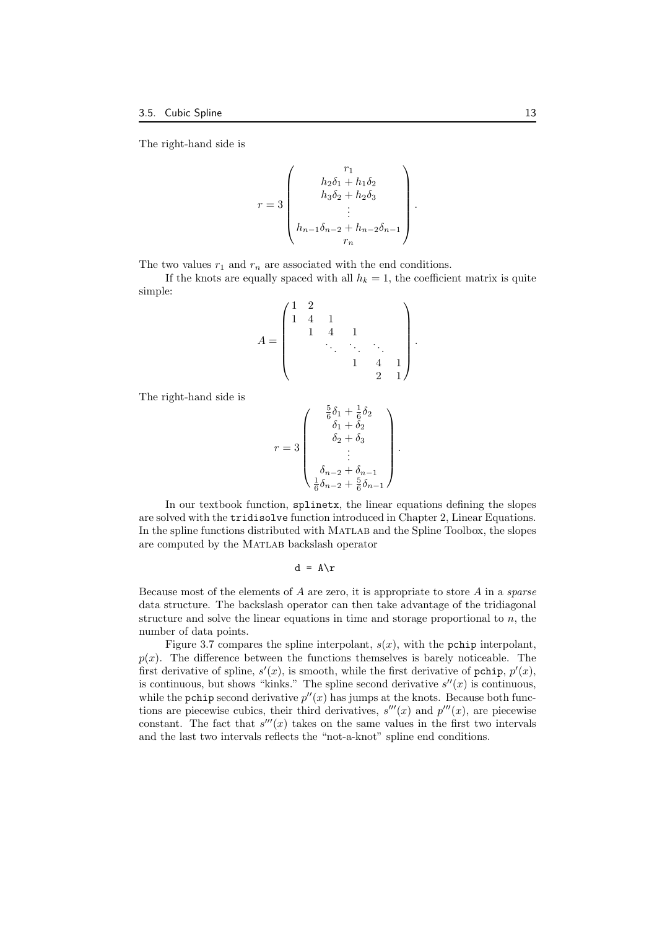The right-hand side is

$$
r = 3 \begin{pmatrix} r_1 \\ h_2 \delta_1 + h_1 \delta_2 \\ h_3 \delta_2 + h_2 \delta_3 \\ \vdots \\ h_{n-1} \delta_{n-2} + h_{n-2} \delta_{n-1} \\ r_n \end{pmatrix}.
$$

The two values  $r_1$  and  $r_n$  are associated with the end conditions.

If the knots are equally spaced with all  $h_k = 1$ , the coefficient matrix is quite simple:

$$
A = \begin{pmatrix} 1 & 2 & & & & \\ 1 & 4 & 1 & & & \\ & 1 & 4 & 1 & & \\ & & \ddots & \ddots & \ddots & \\ & & & 1 & 4 & 1 \\ & & & & 2 & 1 \end{pmatrix}
$$

*.*

The right-hand side is

$$
r=3\left(\begin{array}{c} \frac{5}{6}\delta_1+\frac{1}{6}\delta_2\\ \delta_1+\delta_2\\ \delta_2+\delta_3\\ \vdots\\ \delta_{n-2}+\delta_{n-1}\\ \frac{1}{6}\delta_{n-2}+\frac{5}{6}\delta_{n-1}\end{array}\right).
$$

In our textbook function, splinetx, the linear equations defining the slopes are solved with the tridisolve function introduced in Chapter 2, Linear Equations. In the spline functions distributed with MATLAB and the Spline Toolbox, the slopes are computed by the MATLAB backslash operator

 $d = A\$ r

Because most of the elements of *A* are zero, it is appropriate to store *A* in a *sparse* data structure. The backslash operator can then take advantage of the tridiagonal structure and solve the linear equations in time and storage proportional to *n*, the number of data points.

Figure 3.7 compares the spline interpolant,  $s(x)$ , with the pchip interpolant,  $p(x)$ . The difference between the functions themselves is barely noticeable. The first derivative of spline,  $s'(x)$ , is smooth, while the first derivative of pchip,  $p'(x)$ , is continuous, but shows "kinks." The spline second derivative  $s''(x)$  is continuous, while the pchip second derivative  $p''(x)$  has jumps at the knots. Because both functions are piecewise cubics, their third derivatives,  $s'''(x)$  and  $p'''(x)$ , are piecewise constant. The fact that  $s'''(x)$  takes on the same values in the first two intervals and the last two intervals reflects the "not-a-knot" spline end conditions.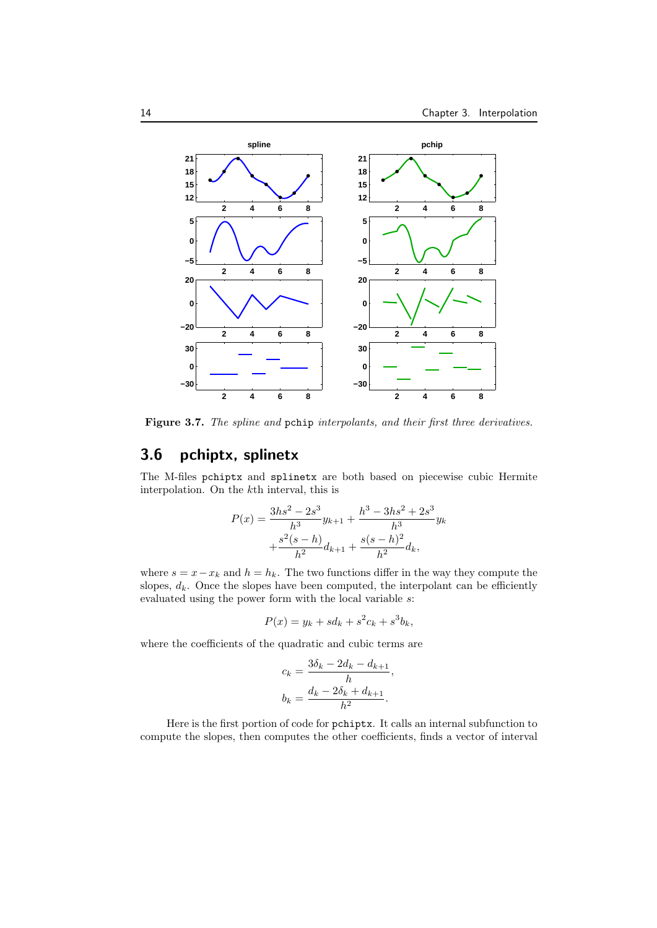

**Figure 3.7.** *The spline and* pchip *interpolants, and their first three derivatives.*

## **3.6 pchiptx, splinetx**

The M-files pchiptx and splinetx are both based on piecewise cubic Hermite interpolation. On the *k*th interval, this is

$$
P(x) = \frac{3hs^2 - 2s^3}{h^3}y_{k+1} + \frac{h^3 - 3hs^2 + 2s^3}{h^3}y_k
$$

$$
+ \frac{s^2(s-h)}{h^2}d_{k+1} + \frac{s(s-h)^2}{h^2}d_k,
$$

where  $s = x - x_k$  and  $h = h_k$ . The two functions differ in the way they compute the slopes,  $d_k$ . Once the slopes have been computed, the interpolant can be efficiently evaluated using the power form with the local variable *s*:

$$
P(x) = y_k + sd_k + s^2c_k + s^3b_k,
$$

where the coefficients of the quadratic and cubic terms are

$$
c_k = \frac{3\delta_k - 2d_k - d_{k+1}}{h},
$$
  

$$
b_k = \frac{d_k - 2\delta_k + d_{k+1}}{h^2}.
$$

Here is the first portion of code for pchiptx. It calls an internal subfunction to compute the slopes, then computes the other coefficients, finds a vector of interval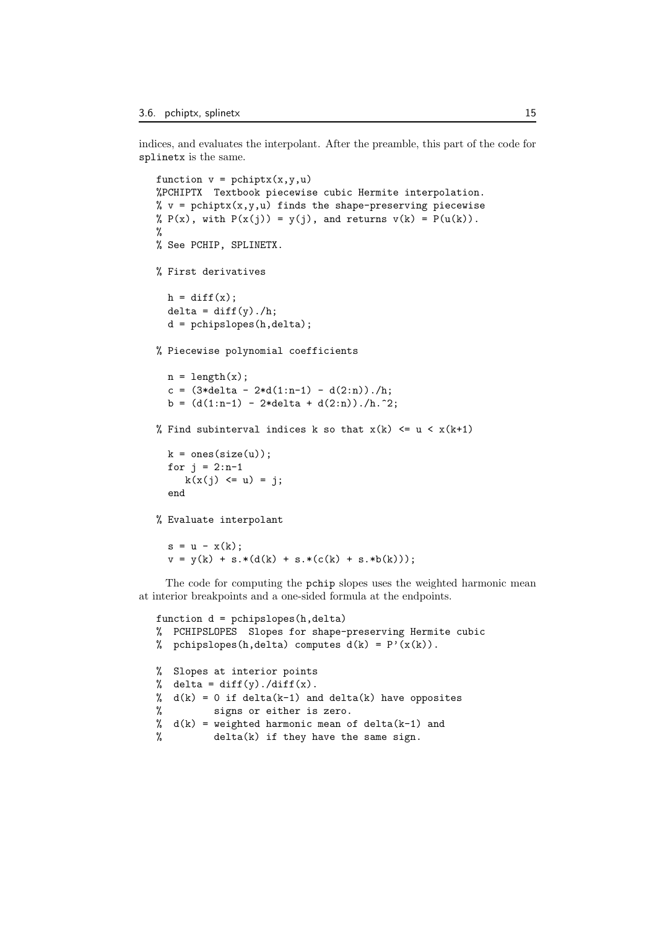indices, and evaluates the interpolant. After the preamble, this part of the code for splinetx is the same.

```
function v = \text{pchiptx}(x, y, u)%PCHIPTX Textbook piecewise cubic Hermite interpolation.
% v = \text{pchiptx}(x, y, u) finds the shape-preserving piecewise
% P(x), with P(x(j)) = y(j), and returns v(k) = P(u(k)).
%
% See PCHIP, SPLINETX.
% First derivatives
 h = diff(x);delta = diff(y)./h;
  d = pchipslopes(h, delta);
% Piecewise polynomial coefficients
  n = length(x);c = (3*delta - 2*d(1:n-1) - d(2:n))./h;b = (d(1:n-1) - 2*delta + d(2:n))./h.<sup>2</sup>;
% Find subinterval indices k so that x(k) \leq u \leq x(k+1)k = ones(size(u)):
  for j = 2:n-1k(x(j) \leq u) = j;end
% Evaluate interpolant
  s = u - x(k);
```
The code for computing the pchip slopes uses the weighted harmonic mean at interior breakpoints and a one-sided formula at the endpoints.

 $v = y(k) + s.*(d(k) + s.*(c(k) + s.*b(k)))$ ;

```
function d = pchipslopes(h,delta)
% PCHIPSLOPES Slopes for shape-preserving Hermite cubic
% pchipslopes(h,delta) computes d(k) = P'(x(k)).
% Slopes at interior points
% delta = diff(y)./diff(x).
% d(k) = 0 if delta(k-1) and delta(k) have opposites
% signs or either is zero.
% d(k) = weighted harmonic mean of delta(k-1) and
% delta(k) if they have the same sign.
```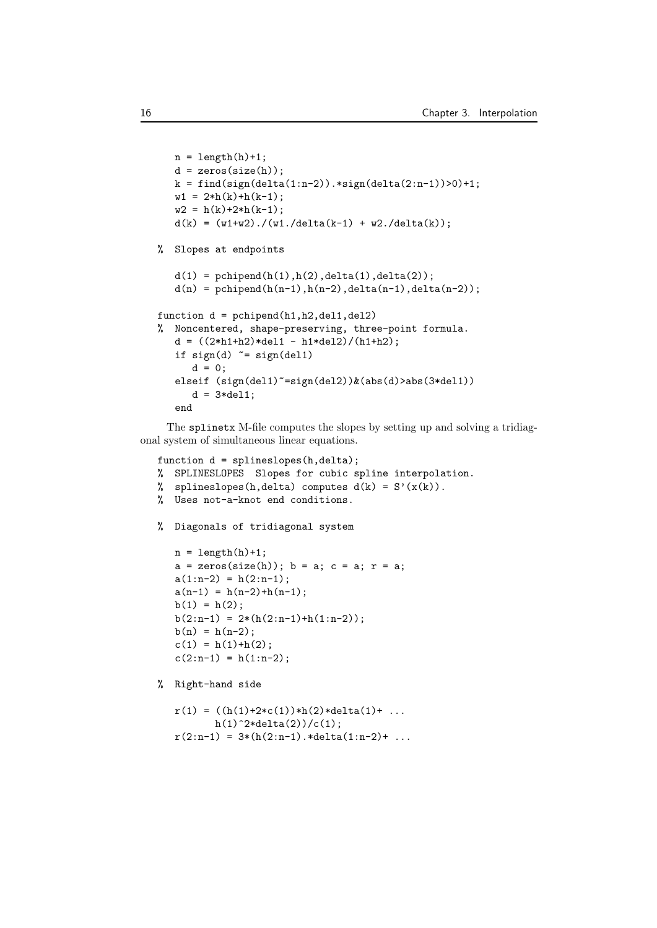```
n = length(h)+1;d = zeros(size(h));
   k = \text{find}(\text{sign}(\text{delta}(1:n-2)) \cdot \text{sign}(\text{delta}(2:n-1)) > 0) + 1;w1 = 2*h(k)+h(k-1);w2 = h(k)+2*h(k-1);d(k) = (w1+w2)./(w1./delta(k-1) + w2./delta(k));
% Slopes at endpoints
   d(1) = pchipend(h(1),h(2),delta(1),delta(2));
   d(n) = pchipend(h(n-1), h(n-2), delta(n-1), delta(n-2));function d = pchipend(h1,h2,del1,del2)
% Noncentered, shape-preserving, three-point formula.
   d = ((2*h1+h2)*del1 - h1*del2)/(h1+h2);if sign(d) = sign(del1)d = 0;elseif (sign(del1)~=sign(del2))&(abs(d)>abs(3*del1))
      d = 3*del1;end
```
The splinetx M-file computes the slopes by setting up and solving a tridiagonal system of simultaneous linear equations.

```
function d = splineslopes(h, delta);
% SPLINESLOPES Slopes for cubic spline interpolation.
% splineslopes(h,delta) computes d(k) = S'(x(k)).
% Uses not-a-knot end conditions.
% Diagonals of tridiagonal system
  n = length(h)+1;a = zeros(size(h)); b = a; c = a; r = a;a(1:n-2) = h(2:n-1);a(n-1) = h(n-2)+h(n-1);b(1) = h(2);
  b(2:n-1) = 2*(h(2:n-1)+h(1:n-2));b(n) = h(n-2);c(1) = h(1) + h(2);
   c(2:n-1) = h(1:n-2);% Right-hand side
```

```
r(1) = ((h(1)+2*c(1))*h(2)*delta(1)+...h(1)^2*delta(2))/c(1);r(2:n-1) = 3*(h(2:n-1).*delta(1:n-2)+...
```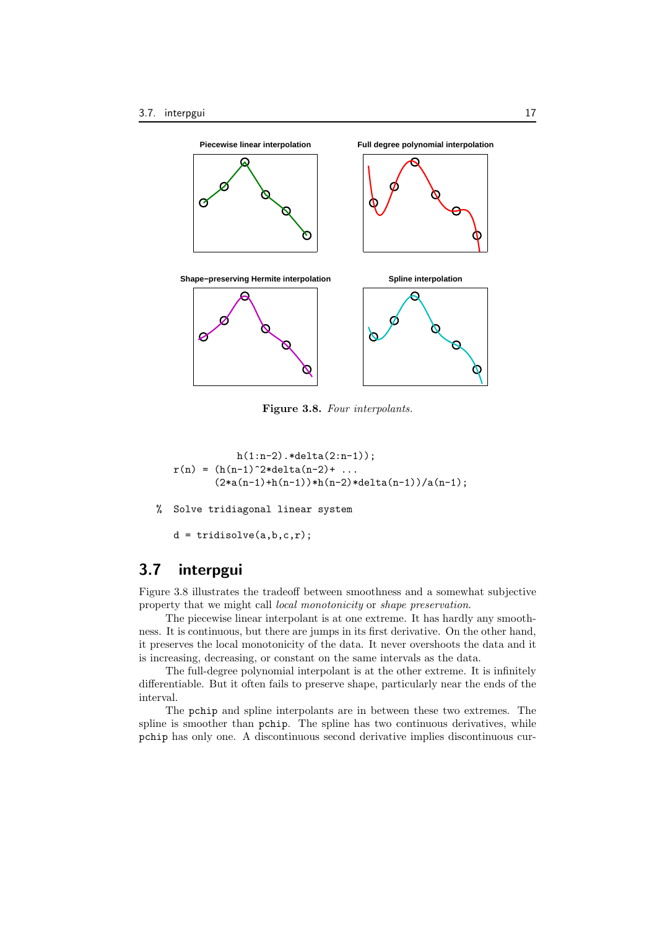

**Figure 3.8.** *Four interpolants.*

```
h(1:n-2). *delta(2:n-1));
r(n) = (h(n-1)^{2}*delta(n-2)+ \ldots(2*a(n-1)+h(n-1))*h(n-2)*delta(n-1))/a(n-1);
```
% Solve tridiagonal linear system

```
d = \text{tridisolve}(a, b, c, r);
```
## **3.7 interpgui**

Figure 3.8 illustrates the tradeoff between smoothness and a somewhat subjective property that we might call *local monotonicity* or *shape preservation*.

The piecewise linear interpolant is at one extreme. It has hardly any smoothness. It is continuous, but there are jumps in its first derivative. On the other hand, it preserves the local monotonicity of the data. It never overshoots the data and it is increasing, decreasing, or constant on the same intervals as the data.

The full-degree polynomial interpolant is at the other extreme. It is infinitely differentiable. But it often fails to preserve shape, particularly near the ends of the interval.

The pchip and spline interpolants are in between these two extremes. The spline is smoother than pchip. The spline has two continuous derivatives, while pchip has only one. A discontinuous second derivative implies discontinuous cur-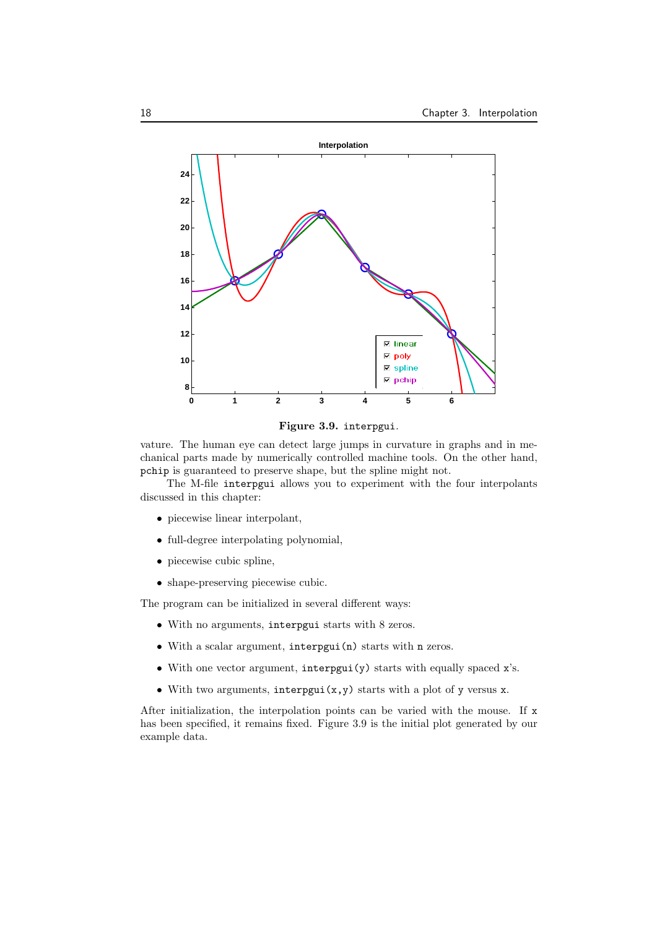

**Figure 3.9.** interpgui*.*

vature. The human eye can detect large jumps in curvature in graphs and in mechanical parts made by numerically controlled machine tools. On the other hand, pchip is guaranteed to preserve shape, but the spline might not.

The M-file interpgui allows you to experiment with the four interpolants discussed in this chapter:

- piecewise linear interpolant,
- *•* full-degree interpolating polynomial,
- *•* piecewise cubic spline,
- *•* shape-preserving piecewise cubic.

The program can be initialized in several different ways:

- *•* With no arguments, interpgui starts with 8 zeros.
- *•* With a scalar argument, interpgui(n) starts with n zeros.
- *•* With one vector argument, interpgui(y) starts with equally spaced x's.
- *•* With two arguments, interpgui(x,y) starts with a plot of y versus x.

After initialization, the interpolation points can be varied with the mouse. If x has been specified, it remains fixed. Figure 3.9 is the initial plot generated by our example data.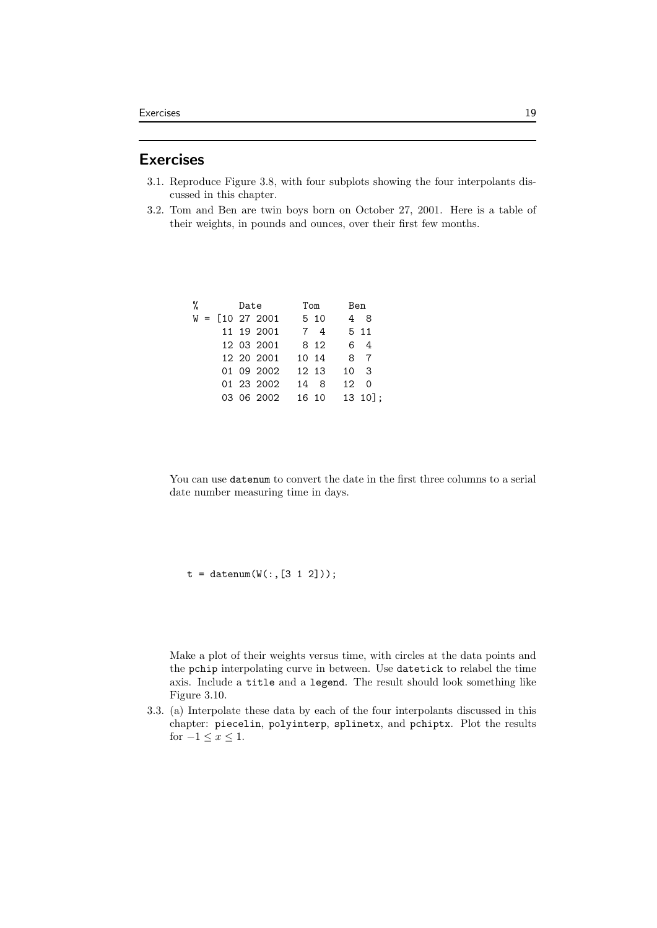#### **Exercises**

- 3.1. Reproduce Figure 3.8, with four subplots showing the four interpolants discussed in this chapter.
- 3.2. Tom and Ben are twin boys born on October 27, 2001. Here is a table of their weights, in pounds and ounces, over their first few months.

| % |  | Date |                                          | Tom   | Ben             |             |
|---|--|------|------------------------------------------|-------|-----------------|-------------|
|   |  |      | $W = \left[10\right.27\left.2001\right]$ | 5 10  |                 | 48          |
|   |  |      | 11 19 2001                               | 74    |                 | 5 11        |
|   |  |      | 12 03 2001                               | 8 1 2 |                 | 6 4         |
|   |  |      | 12 20 2001                               | 10 14 |                 | 8 7         |
|   |  |      | 01 09 2002                               | 12 13 | 10 <sub>3</sub> |             |
|   |  |      | 01 23 2002                               | 14 8  | $12 \quad 0$    |             |
|   |  |      | 03 06 2002                               | 16 10 |                 | $13 \t10$ : |

You can use datenum to convert the date in the first three columns to a serial date number measuring time in days.

 $t = d$ atenum $(W(:, [3 1 2]))$ ;

Make a plot of their weights versus time, with circles at the data points and the pchip interpolating curve in between. Use datetick to relabel the time axis. Include a title and a legend. The result should look something like Figure 3.10.

3.3. (a) Interpolate these data by each of the four interpolants discussed in this chapter: piecelin, polyinterp, splinetx, and pchiptx. Plot the results for  $-1 \leq x \leq 1$ .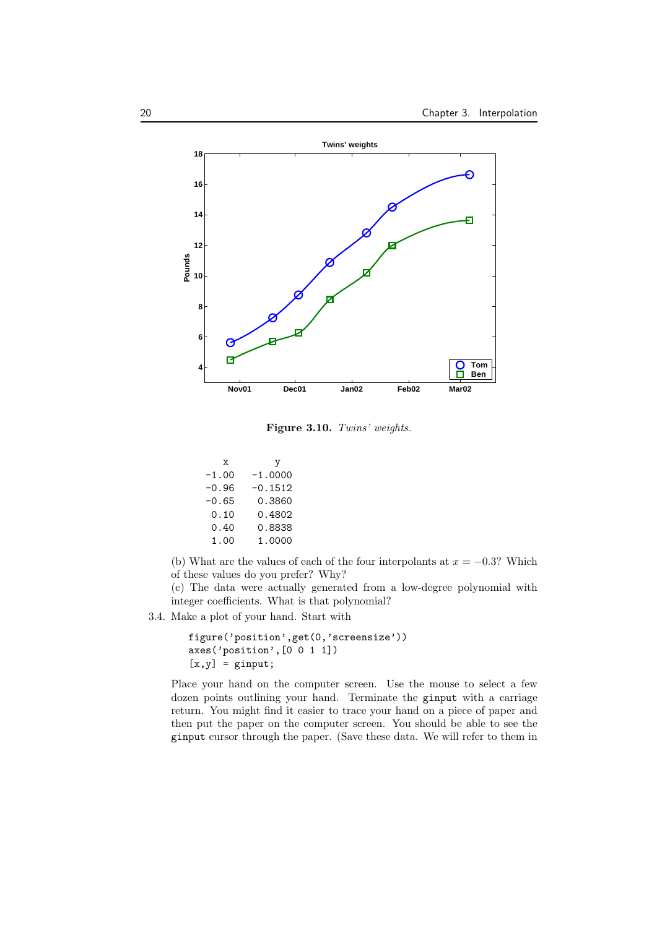

**Figure 3.10.** *Twins' weights.*

| x       | y         |
|---------|-----------|
| $-1.00$ | $-1.0000$ |
| -0.96   | $-0.1512$ |
| -0.65   | 0.3860    |
| 0.10    | 0.4802    |
| 0.40    | 0.8838    |
| 1.00    | 1.0000    |

(b) What are the values of each of the four interpolants at  $x = -0.3$ ? Which of these values do you prefer? Why?

(c) The data were actually generated from a low-degree polynomial with integer coefficients. What is that polynomial?

3.4. Make a plot of your hand. Start with

```
figure('position',get(0,'screensize'))
axes('position',[0 0 1 1])
[x,y] = ginput;
```
Place your hand on the computer screen. Use the mouse to select a few dozen points outlining your hand. Terminate the ginput with a carriage return. You might find it easier to trace your hand on a piece of paper and then put the paper on the computer screen. You should be able to see the ginput cursor through the paper. (Save these data. We will refer to them in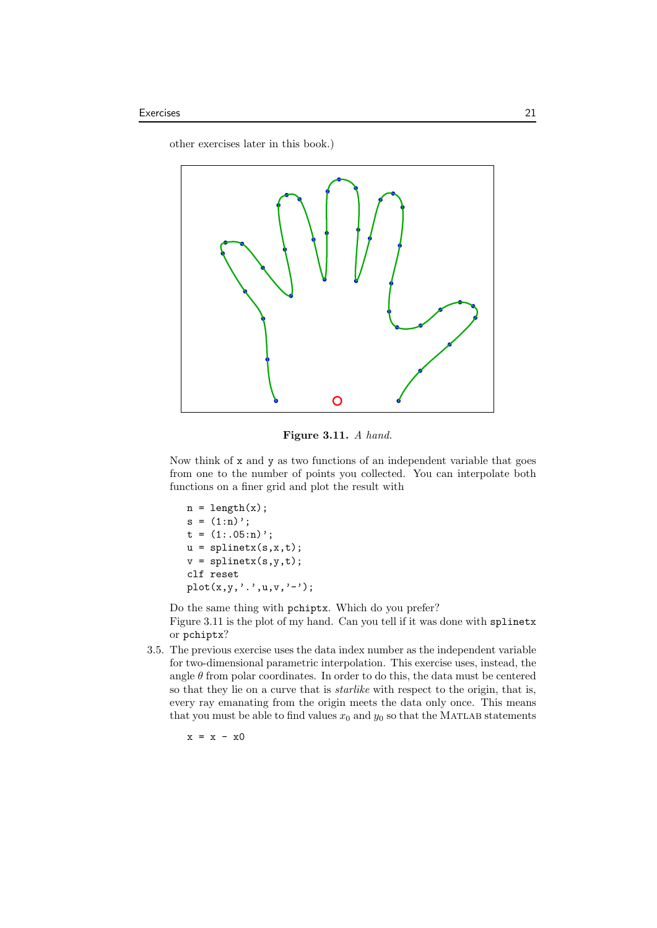other exercises later in this book.)



**Figure 3.11.** *A hand.*

Now think of x and y as two functions of an independent variable that goes from one to the number of points you collected. You can interpolate both functions on a finer grid and plot the result with

```
n = length(x);s = (1:n);
t = (1: .05:n);
u = splinetx(s,x,t);
v = splinetx(s,y,t);
clf reset
plot(x,y,'.'',u,v,'-'');
```
Do the same thing with pchiptx. Which do you prefer? Figure 3.11 is the plot of my hand. Can you tell if it was done with splinetx or pchiptx?

3.5. The previous exercise uses the data index number as the independent variable for two-dimensional parametric interpolation. This exercise uses, instead, the angle  $\theta$  from polar coordinates. In order to do this, the data must be centered so that they lie on a curve that is *starlike* with respect to the origin, that is, every ray emanating from the origin meets the data only once. This means that you must be able to find values  $x_0$  and  $y_0$  so that the MATLAB statements

 $x = x - x0$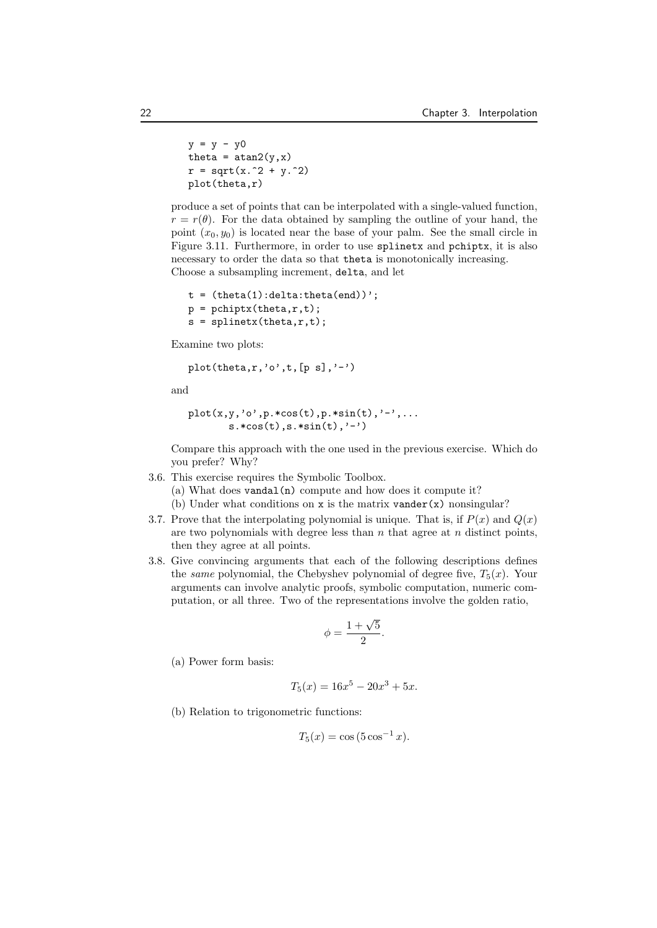```
y = y - y0theta = atan2(y, x)r = sqrt(x.^2 + y.^2)plot(theta,r)
```
produce a set of points that can be interpolated with a single-valued function,  $r = r(\theta)$ . For the data obtained by sampling the outline of your hand, the point  $(x_0, y_0)$  is located near the base of your palm. See the small circle in Figure 3.11. Furthermore, in order to use splinetx and pchiptx, it is also necessary to order the data so that theta is monotonically increasing. Choose a subsampling increment, delta, and let

```
t = (theta(1):delta:theta(end));
p = \text{pchiptx}(\text{theta}, r, t);s =splinetx(theta,r,t);
```
Examine two plots:

plot(theta,r,'o',t,[p s],'-')

and

```
plot(x,y,'o',p.*cos(t),p.*sin(t),'-',...s.*cos(t),s.*sin(t),'-'')
```
Compare this approach with the one used in the previous exercise. Which do you prefer? Why?

3.6. This exercise requires the Symbolic Toolbox.

(a) What does vandal(n) compute and how does it compute it?

(b) Under what conditions on x is the matrix vander $(x)$  nonsingular?

- 3.7. Prove that the interpolating polynomial is unique. That is, if  $P(x)$  and  $Q(x)$ are two polynomials with degree less than *n* that agree at *n* distinct points, then they agree at all points.
- 3.8. Give convincing arguments that each of the following descriptions defines the *same* polynomial, the Chebyshev polynomial of degree five,  $T_5(x)$ . Your arguments can involve analytic proofs, symbolic computation, numeric computation, or all three. Two of the representations involve the golden ratio,

$$
\phi = \frac{1 + \sqrt{5}}{2}.
$$

(a) Power form basis:

$$
T_5(x) = 16x^5 - 20x^3 + 5x.
$$

(b) Relation to trigonometric functions:

$$
T_5(x) = \cos(5 \cos^{-1} x).
$$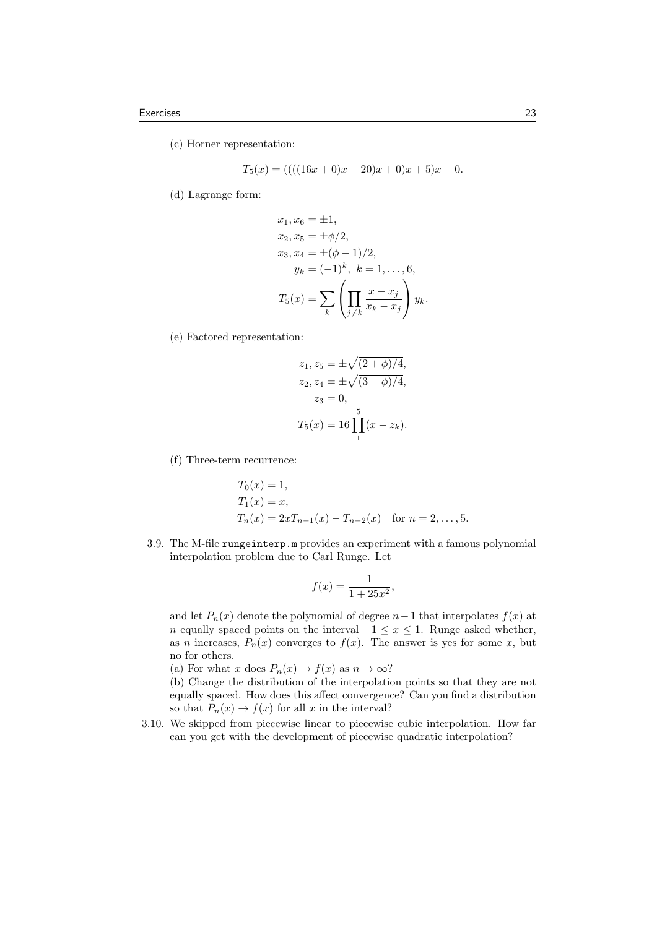(c) Horner representation:

$$
T_5(x) = (((16x + 0)x - 20)x + 0)x + 5)x + 0.
$$

(d) Lagrange form:

$$
x_1, x_6 = \pm 1,
$$
  
\n
$$
x_2, x_5 = \pm \phi/2,
$$
  
\n
$$
x_3, x_4 = \pm (\phi - 1)/2,
$$
  
\n
$$
y_k = (-1)^k, k = 1, ..., 6,
$$
  
\n
$$
T_5(x) = \sum_k \left( \prod_{j \neq k} \frac{x - x_j}{x_k - x_j} \right) y_k.
$$

(e) Factored representation:

$$
z_1, z_5 = \pm \sqrt{(2 + \phi)/4},
$$
  
\n
$$
z_2, z_4 = \pm \sqrt{(3 - \phi)/4},
$$
  
\n
$$
z_3 = 0,
$$
  
\n
$$
T_5(x) = 16 \prod_{1}^{5} (x - z_k).
$$

(f) Three-term recurrence:

$$
T_0(x) = 1,
$$
  
\n
$$
T_1(x) = x,
$$
  
\n
$$
T_n(x) = 2xT_{n-1}(x) - T_{n-2}(x) \text{ for } n = 2, ..., 5.
$$

3.9. The M-file rungeinterp.m provides an experiment with a famous polynomial interpolation problem due to Carl Runge. Let

$$
f(x) = \frac{1}{1 + 25x^2},
$$

and let  $P_n(x)$  denote the polynomial of degree  $n-1$  that interpolates  $f(x)$  at *n* equally spaced points on the interval  $-1 \leq x \leq 1$ . Runge asked whether, as *n* increases,  $P_n(x)$  converges to  $f(x)$ . The answer is yes for some *x*, but no for others.

(a) For what *x* does  $P_n(x) \to f(x)$  as  $n \to \infty$ ?

(b) Change the distribution of the interpolation points so that they are not equally spaced. How does this affect convergence? Can you find a distribution so that  $P_n(x) \to f(x)$  for all *x* in the interval?

3.10. We skipped from piecewise linear to piecewise cubic interpolation. How far can you get with the development of piecewise quadratic interpolation?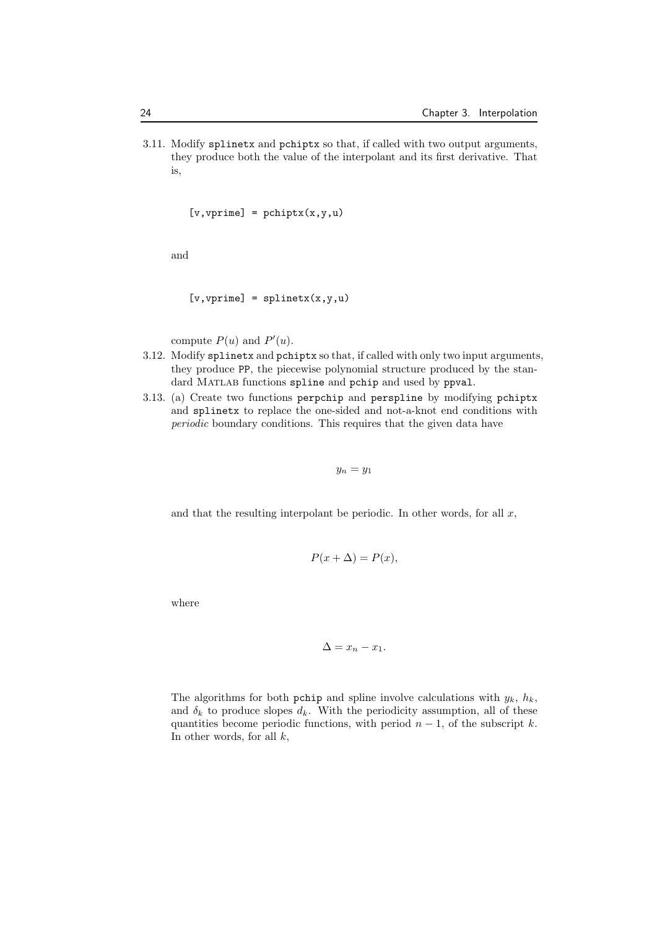3.11. Modify splinetx and pchiptx so that, if called with two output arguments, they produce both the value of the interpolant and its first derivative. That is,

 $[v, vprime] = pchiptx(x, y, u)$ 

and

$$
[v, vprime] = splinet x(x, y, u)
$$

compute  $P(u)$  and  $P'(u)$ .

- 3.12. Modify splinetx and pchiptx so that, if called with only two input arguments, they produce PP, the piecewise polynomial structure produced by the standard MATLAB functions spline and pchip and used by ppval.
- 3.13. (a) Create two functions perpchip and perspline by modifying pchiptx and splinetx to replace the one-sided and not-a-knot end conditions with *periodic* boundary conditions. This requires that the given data have

$$
y_n = y_1
$$

and that the resulting interpolant be periodic. In other words, for all *x*,

$$
P(x + \Delta) = P(x),
$$

where

$$
\Delta = x_n - x_1.
$$

The algorithms for both pchip and spline involve calculations with  $y_k$ ,  $h_k$ , and  $\delta_k$  to produce slopes  $d_k$ . With the periodicity assumption, all of these quantities become periodic functions, with period  $n-1$ , of the subscript  $k$ . In other words, for all *k*,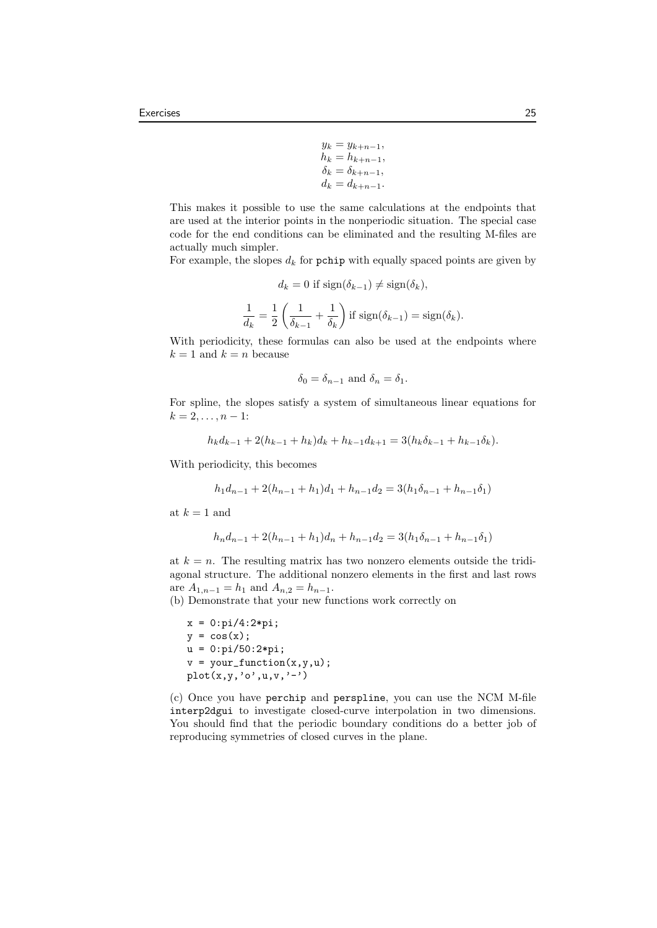$$
y_k = y_{k+n-1},
$$
  
\n
$$
h_k = h_{k+n-1},
$$
  
\n
$$
\delta_k = \delta_{k+n-1},
$$
  
\n
$$
d_k = d_{k+n-1}.
$$

This makes it possible to use the same calculations at the endpoints that are used at the interior points in the nonperiodic situation. The special case code for the end conditions can be eliminated and the resulting M-files are actually much simpler.

For example, the slopes  $d_k$  for pchip with equally spaced points are given by

$$
d_k = 0 \text{ if } \text{sign}(\delta_{k-1}) \neq \text{sign}(\delta_k),
$$

$$
\frac{1}{d_k} = \frac{1}{2} \left( \frac{1}{\delta_{k-1}} + \frac{1}{\delta_k} \right) \text{ if } \text{sign}(\delta_{k-1}) = \text{sign}(\delta_k).
$$

With periodicity, these formulas can also be used at the endpoints where  $k = 1$  and  $k = n$  because

$$
\delta_0 = \delta_{n-1} \text{ and } \delta_n = \delta_1.
$$

For spline, the slopes satisfy a system of simultaneous linear equations for  $k = 2, \ldots, n - 1$ :

$$
h_k d_{k-1} + 2(h_{k-1} + h_k) d_k + h_{k-1} d_{k+1} = 3(h_k \delta_{k-1} + h_{k-1} \delta_k).
$$

With periodicity, this becomes

$$
h_1d_{n-1} + 2(h_{n-1} + h_1)d_1 + h_{n-1}d_2 = 3(h_1\delta_{n-1} + h_{n-1}\delta_1)
$$

at  $k = 1$  and

$$
h_n d_{n-1} + 2(h_{n-1} + h_1)d_n + h_{n-1}d_2 = 3(h_1 \delta_{n-1} + h_{n-1} \delta_1)
$$

at  $k = n$ . The resulting matrix has two nonzero elements outside the tridiagonal structure. The additional nonzero elements in the first and last rows are  $A_{1,n-1} = h_1$  and  $A_{n,2} = h_{n-1}$ .

(b) Demonstrate that your new functions work correctly on

 $x = 0:pi/4:2*pi;$  $y = cos(x);$  $u = 0:pi/50:2*pi;$  $v = your_function(x,y,u);$  $plot(x,y,'o',u,v,'-')$ 

(c) Once you have perchip and perspline, you can use the NCM M-file interp2dgui to investigate closed-curve interpolation in two dimensions. You should find that the periodic boundary conditions do a better job of reproducing symmetries of closed curves in the plane.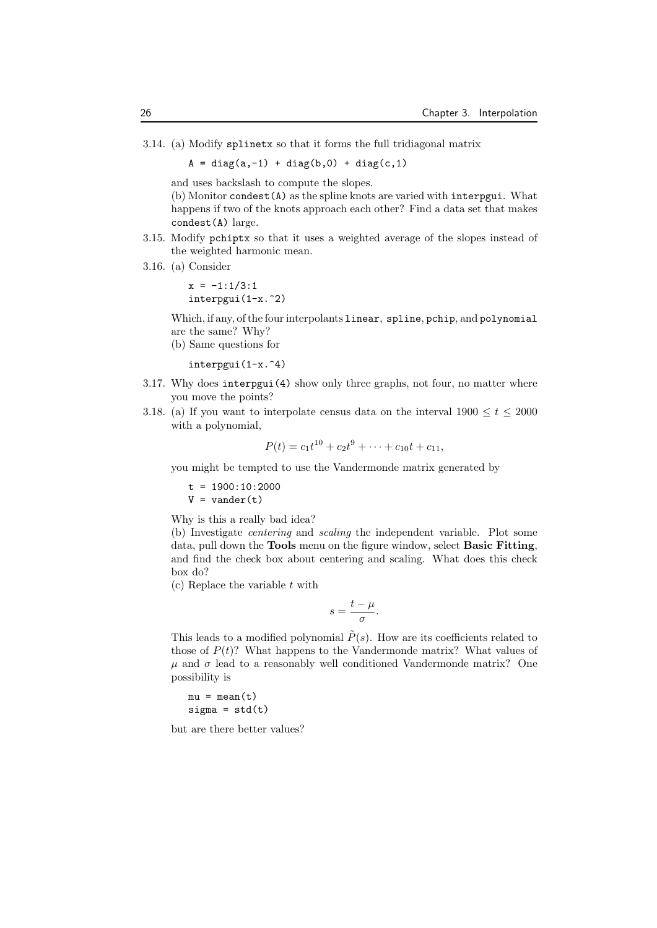3.14. (a) Modify splinetx so that it forms the full tridiagonal matrix

 $A = diag(a, -1) + diag(b, 0) + diag(c, 1)$ 

and uses backslash to compute the slopes.

(b) Monitor condest(A) as the spline knots are varied with interpgui. What happens if two of the knots approach each other? Find a data set that makes condest(A) large.

- 3.15. Modify pchiptx so that it uses a weighted average of the slopes instead of the weighted harmonic mean.
- 3.16. (a) Consider

 $x = -1:1/3:1$ interpgui(1-x.^2)

Which, if any, of the four interpolants linear, spline, pchip, and polynomial are the same? Why?

(b) Same questions for

interpgui(1-x.^4)

- 3.17. Why does interpgui(4) show only three graphs, not four, no matter where you move the points?
- 3.18. (a) If you want to interpolate census data on the interval  $1900 \le t \le 2000$ with a polynomial,

$$
P(t) = c_1 t^{10} + c_2 t^9 + \dots + c_{10} t + c_{11},
$$

you might be tempted to use the Vandermonde matrix generated by

 $t = 1900:10:2000$ 

 $V = vander(t)$ 

Why is this a really bad idea?

(b) Investigate *centering* and *scaling* the independent variable. Plot some data, pull down the **Tools** menu on the figure window, select **Basic Fitting**, and find the check box about centering and scaling. What does this check box do?

(c) Replace the variable *t* with

$$
s=\frac{t-\mu}{\sigma}.
$$

This leads to a modified polynomial  $\tilde{P}(s)$ . How are its coefficients related to those of  $P(t)$ ? What happens to the Vandermonde matrix? What values of  $\mu$  and  $\sigma$  lead to a reasonably well conditioned Vandermonde matrix? One possibility is

 $mu = mean(t)$  $signa = std(t)$ 

but are there better values?